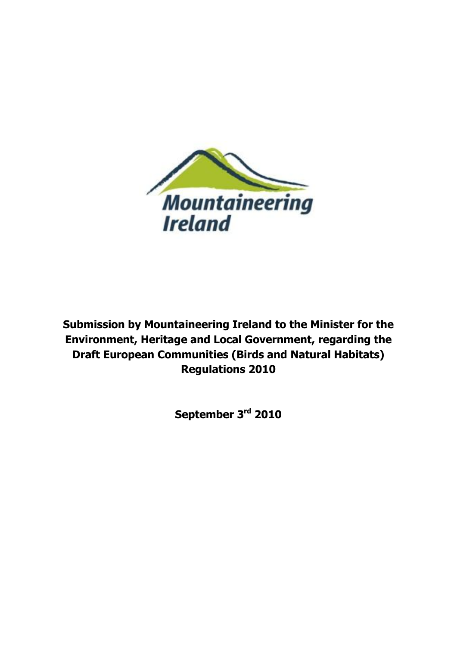

**Submission by Mountaineering Ireland to the Minister for the Environment, Heritage and Local Government, regarding the Draft European Communities (Birds and Natural Habitats) Regulations 2010**

**September 3rd 2010**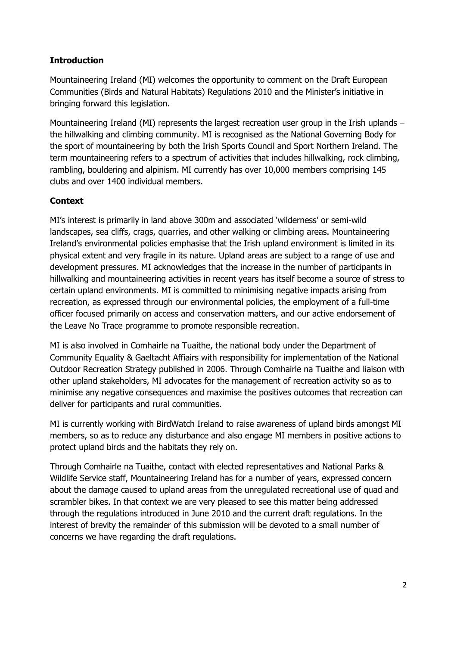### **Introduction**

Mountaineering Ireland (MI) welcomes the opportunity to comment on the Draft European Communities (Birds and Natural Habitats) Regulations 2010 and the Minister"s initiative in bringing forward this legislation.

Mountaineering Ireland (MI) represents the largest recreation user group in the Irish uplands – the hillwalking and climbing community. MI is recognised as the National Governing Body for the sport of mountaineering by both the Irish Sports Council and Sport Northern Ireland. The term mountaineering refers to a spectrum of activities that includes hillwalking, rock climbing, rambling, bouldering and alpinism. MI currently has over 10,000 members comprising 145 clubs and over 1400 individual members.

# **Context**

MI's interest is primarily in land above 300m and associated 'wilderness' or semi-wild landscapes, sea cliffs, crags, quarries, and other walking or climbing areas. Mountaineering Ireland"s environmental policies emphasise that the Irish upland environment is limited in its physical extent and very fragile in its nature. Upland areas are subject to a range of use and development pressures. MI acknowledges that the increase in the number of participants in hillwalking and mountaineering activities in recent years has itself become a source of stress to certain upland environments. MI is committed to minimising negative impacts arising from recreation, as expressed through our environmental policies, the employment of a full-time officer focused primarily on access and conservation matters, and our active endorsement of the Leave No Trace programme to promote responsible recreation.

MI is also involved in Comhairle na Tuaithe, the national body under the Department of Community Equality & Gaeltacht Affiairs with responsibility for implementation of the National Outdoor Recreation Strategy published in 2006. Through Comhairle na Tuaithe and liaison with other upland stakeholders, MI advocates for the management of recreation activity so as to minimise any negative consequences and maximise the positives outcomes that recreation can deliver for participants and rural communities.

MI is currently working with BirdWatch Ireland to raise awareness of upland birds amongst MI members, so as to reduce any disturbance and also engage MI members in positive actions to protect upland birds and the habitats they rely on.

Through Comhairle na Tuaithe, contact with elected representatives and National Parks & Wildlife Service staff, Mountaineering Ireland has for a number of years, expressed concern about the damage caused to upland areas from the unregulated recreational use of quad and scrambler bikes. In that context we are very pleased to see this matter being addressed through the regulations introduced in June 2010 and the current draft regulations. In the interest of brevity the remainder of this submission will be devoted to a small number of concerns we have regarding the draft regulations.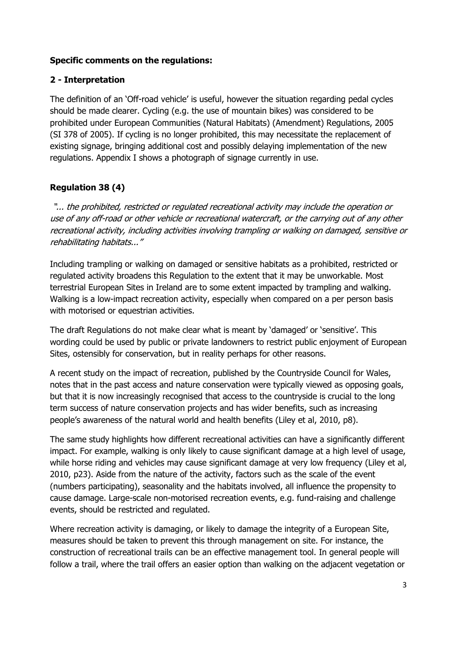#### **Specific comments on the regulations:**

### **2 - Interpretation**

The definition of an "Off-road vehicle" is useful, however the situation regarding pedal cycles should be made clearer. Cycling (e.g. the use of mountain bikes) was considered to be prohibited under European Communities (Natural Habitats) (Amendment) Regulations, 2005 (SI 378 of 2005). If cycling is no longer prohibited, this may necessitate the replacement of existing signage, bringing additional cost and possibly delaying implementation of the new regulations. Appendix I shows a photograph of signage currently in use.

## **Regulation 38 (4)**

"... the prohibited, restricted or regulated recreational activity may include the operation or use of any off-road or other vehicle or recreational watercraft, or the carrying out of any other recreational activity, including activities involving trampling or walking on damaged, sensitive or rehabilitating habitats..."

Including trampling or walking on damaged or sensitive habitats as a prohibited, restricted or regulated activity broadens this Regulation to the extent that it may be unworkable. Most terrestrial European Sites in Ireland are to some extent impacted by trampling and walking. Walking is a low-impact recreation activity, especially when compared on a per person basis with motorised or equestrian activities.

The draft Regulations do not make clear what is meant by "damaged" or "sensitive". This wording could be used by public or private landowners to restrict public enjoyment of European Sites, ostensibly for conservation, but in reality perhaps for other reasons.

A recent study on the impact of recreation, published by the Countryside Council for Wales, notes that in the past access and nature conservation were typically viewed as opposing goals, but that it is now increasingly recognised that access to the countryside is crucial to the long term success of nature conservation projects and has wider benefits, such as increasing people"s awareness of the natural world and health benefits (Liley et al, 2010, p8).

The same study highlights how different recreational activities can have a significantly different impact. For example, walking is only likely to cause significant damage at a high level of usage, while horse riding and vehicles may cause significant damage at very low frequency (Liley et al, 2010, p23). Aside from the nature of the activity, factors such as the scale of the event (numbers participating), seasonality and the habitats involved, all influence the propensity to cause damage. Large-scale non-motorised recreation events, e.g. fund-raising and challenge events, should be restricted and regulated.

Where recreation activity is damaging, or likely to damage the integrity of a European Site, measures should be taken to prevent this through management on site. For instance, the construction of recreational trails can be an effective management tool. In general people will follow a trail, where the trail offers an easier option than walking on the adjacent vegetation or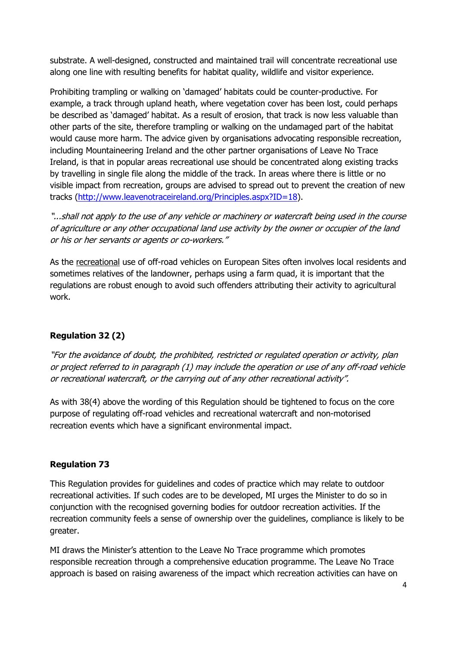substrate. A well-designed, constructed and maintained trail will concentrate recreational use along one line with resulting benefits for habitat quality, wildlife and visitor experience.

Prohibiting trampling or walking on "damaged" habitats could be counter-productive. For example, a track through upland heath, where vegetation cover has been lost, could perhaps be described as "damaged" habitat. As a result of erosion, that track is now less valuable than other parts of the site, therefore trampling or walking on the undamaged part of the habitat would cause more harm. The advice given by organisations advocating responsible recreation, including Mountaineering Ireland and the other partner organisations of Leave No Trace Ireland, is that in popular areas recreational use should be concentrated along existing tracks by travelling in single file along the middle of the track. In areas where there is little or no visible impact from recreation, groups are advised to spread out to prevent the creation of new tracks [\(http://www.leavenotraceireland.org/Principles.aspx?ID=18\)](http://www.leavenotraceireland.org/Principles.aspx?ID=18).

"...shall not apply to the use of any vehicle or machinery or watercraft being used in the course of agriculture or any other occupational land use activity by the owner or occupier of the land or his or her servants or agents or co-workers."

As the recreational use of off-road vehicles on European Sites often involves local residents and sometimes relatives of the landowner, perhaps using a farm quad, it is important that the regulations are robust enough to avoid such offenders attributing their activity to agricultural work.

### **Regulation 32 (2)**

"For the avoidance of doubt, the prohibited, restricted or regulated operation or activity, plan or project referred to in paragraph (1) may include the operation or use of any off-road vehicle or recreational watercraft, or the carrying out of any other recreational activity".

As with 38(4) above the wording of this Regulation should be tightened to focus on the core purpose of regulating off-road vehicles and recreational watercraft and non-motorised recreation events which have a significant environmental impact.

#### **Regulation 73**

This Regulation provides for guidelines and codes of practice which may relate to outdoor recreational activities. If such codes are to be developed, MI urges the Minister to do so in conjunction with the recognised governing bodies for outdoor recreation activities. If the recreation community feels a sense of ownership over the guidelines, compliance is likely to be greater.

MI draws the Minister's attention to the Leave No Trace programme which promotes responsible recreation through a comprehensive education programme. The Leave No Trace approach is based on raising awareness of the impact which recreation activities can have on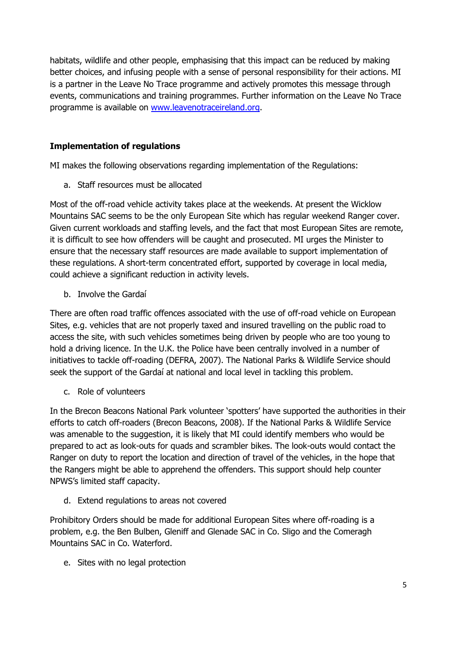habitats, wildlife and other people, emphasising that this impact can be reduced by making better choices, and infusing people with a sense of personal responsibility for their actions. MI is a partner in the Leave No Trace programme and actively promotes this message through events, communications and training programmes. Further information on the Leave No Trace programme is available on [www.leavenotraceireland.org.](http://www.leavenotraceireland.org/)

### **Implementation of regulations**

MI makes the following observations regarding implementation of the Regulations:

a. Staff resources must be allocated

Most of the off-road vehicle activity takes place at the weekends. At present the Wicklow Mountains SAC seems to be the only European Site which has regular weekend Ranger cover. Given current workloads and staffing levels, and the fact that most European Sites are remote, it is difficult to see how offenders will be caught and prosecuted. MI urges the Minister to ensure that the necessary staff resources are made available to support implementation of these regulations. A short-term concentrated effort, supported by coverage in local media, could achieve a significant reduction in activity levels.

b. Involve the Gardaí

There are often road traffic offences associated with the use of off-road vehicle on European Sites, e.g. vehicles that are not properly taxed and insured travelling on the public road to access the site, with such vehicles sometimes being driven by people who are too young to hold a driving licence. In the U.K. the Police have been centrally involved in a number of initiatives to tackle off-roading (DEFRA, 2007). The National Parks & Wildlife Service should seek the support of the Gardaí at national and local level in tackling this problem.

c. Role of volunteers

In the Brecon Beacons National Park volunteer "spotters" have supported the authorities in their efforts to catch off-roaders (Brecon Beacons, 2008). If the National Parks & Wildlife Service was amenable to the suggestion, it is likely that MI could identify members who would be prepared to act as look-outs for quads and scrambler bikes. The look-outs would contact the Ranger on duty to report the location and direction of travel of the vehicles, in the hope that the Rangers might be able to apprehend the offenders. This support should help counter NPWS"s limited staff capacity.

d. Extend regulations to areas not covered

Prohibitory Orders should be made for additional European Sites where off-roading is a problem, e.g. the Ben Bulben, Gleniff and Glenade SAC in Co. Sligo and the Comeragh Mountains SAC in Co. Waterford.

e. Sites with no legal protection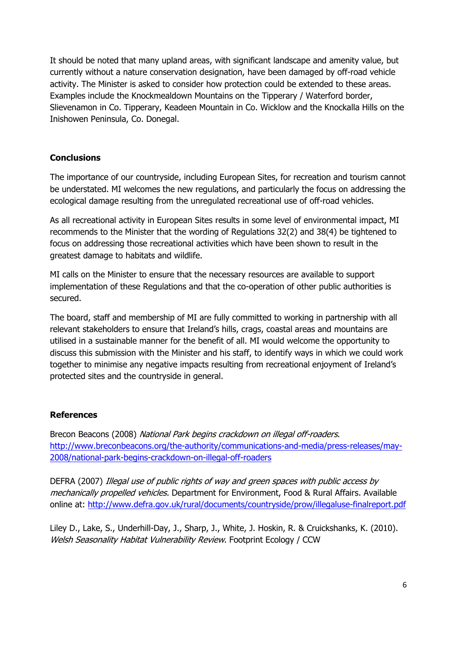It should be noted that many upland areas, with significant landscape and amenity value, but currently without a nature conservation designation, have been damaged by off-road vehicle activity. The Minister is asked to consider how protection could be extended to these areas. Examples include the Knockmealdown Mountains on the Tipperary / Waterford border, Slievenamon in Co. Tipperary, Keadeen Mountain in Co. Wicklow and the Knockalla Hills on the Inishowen Peninsula, Co. Donegal.

### **Conclusions**

The importance of our countryside, including European Sites, for recreation and tourism cannot be understated. MI welcomes the new regulations, and particularly the focus on addressing the ecological damage resulting from the unregulated recreational use of off-road vehicles.

As all recreational activity in European Sites results in some level of environmental impact, MI recommends to the Minister that the wording of Regulations 32(2) and 38(4) be tightened to focus on addressing those recreational activities which have been shown to result in the greatest damage to habitats and wildlife.

MI calls on the Minister to ensure that the necessary resources are available to support implementation of these Regulations and that the co-operation of other public authorities is secured.

The board, staff and membership of MI are fully committed to working in partnership with all relevant stakeholders to ensure that Ireland"s hills, crags, coastal areas and mountains are utilised in a sustainable manner for the benefit of all. MI would welcome the opportunity to discuss this submission with the Minister and his staff, to identify ways in which we could work together to minimise any negative impacts resulting from recreational enjoyment of Ireland"s protected sites and the countryside in general.

### **References**

Brecon Beacons (2008) National Park begins crackdown on illegal off-roaders. [http://www.breconbeacons.org/the-authority/communications-and-media/press-releases/may-](http://www.breconbeacons.org/the-authority/communications-and-media/press-releases/may-2008/national-park-begins-crackdown-on-illegal-off-roaders)[2008/national-park-begins-crackdown-on-illegal-off-roaders](http://www.breconbeacons.org/the-authority/communications-and-media/press-releases/may-2008/national-park-begins-crackdown-on-illegal-off-roaders)

DEFRA (2007) Illegal use of public rights of way and green spaces with public access by mechanically propelled vehicles. Department for Environment, Food & Rural Affairs. Available online at:<http://www.defra.gov.uk/rural/documents/countryside/prow/illegaluse-finalreport.pdf>

Liley D., Lake, S., Underhill-Day, J., Sharp, J., White, J. Hoskin, R. & Cruickshanks, K. (2010). Welsh Seasonality Habitat Vulnerability Review. Footprint Ecology / CCW